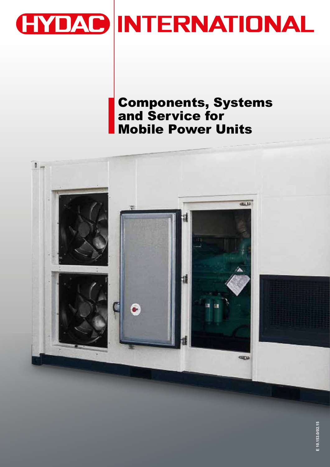

## Components, Systems and Service for Mobile Power Units

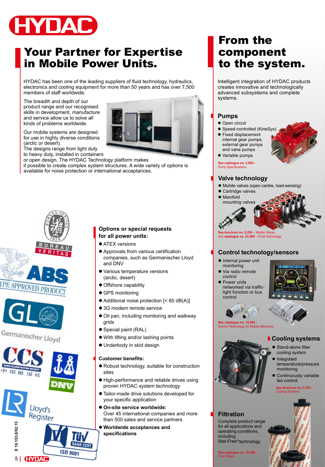

### Your Partner for Expertise in Mobile Power Units.

HYDAC has been one of the leading suppliers of fluid technology, hydraulics, electronics and cooling equipment for more than 50 years and has over 7,500 members of staff worldwide.

The breadth and depth of our product range and our recognised skills in development, manufacture and service allow us to solve all kinds of problems worldwide.

Our mobile systems are designed for use in highly diverse conditions (arctic or desert).

The designs range from light duty to heavy duty, installed in containers

or open design. The HYDAC Technology platform makes it possible to create complex system structures. A wide variety of options is available for noise protection or international acceptances.





Germanischer Lloyd



### **Options or special requests for all power units:**

- $\bullet$  ATEX versions
- $\bullet$  Approvals from various certification companies, such as Germanischer Lloyd and DNV
- Various temperature versions (arctic, desert)
- Offshore capability
- GPS monitoring
- $\bullet$  Additional noise protection  $\left[ < 60 \text{ dB}(A) \right]$
- 3G modem remote service
- Oil pan, including monitoring and walkway grids
- Special paint (RAL)
- With lifting and/or lashing points
- $\bullet$  Underbody in skid design

### **Customer benefits:**

- $\bullet$  Robust technology, suitable for construction sites
- $\bullet$  High-performance and reliable drives using proven HYDAC system technology
- $\bullet$  Tailor-made drive solutions developed for your specific application
- $\bullet$  On-site service worldwide: Over 45 international companies and more than 500 sales and service partners
- $\bullet$  Worldwide acceptances and **specifications**

### From the component to the system.

Intelligent integration of HYDAC products creates innovative and technologically advanced subsystems and complete systems.

### **Pumps**

- $\bullet$  Open circuit
- Speed-controlled (KineSys)
- $\bullet$  Fixed displacement internal gear pumps, external gear pumps and vane pumps



**See catalogue no. 2.900** – Pump Specifications

### **Valve technology**

- $\bullet$  Mobile valves (open centre, load-sensing)
- Cartridge valves
- Manifold mounting valves



### **Control technology/sensors**

- $\bullet$  Internal power unit monitoring
- $\bullet$  Via radio remote control
- **•** Power units networked via trafficlight function or bus control





### **Cooling systems**

- Stand-alone filter cooling system
- Integrated temperature/pressure monitoring
- **Continuously variable** fan control

**See brochure no. 5.700** – ng Sys

### **Filtration**

Complete product range for all applications and operating conditions, including Stat-Free® technology

**See catalogue no. 70.000 –**<br>Fluid Filters



2

**See catalogue no. 18.500** – Control Technology for Mobile Machines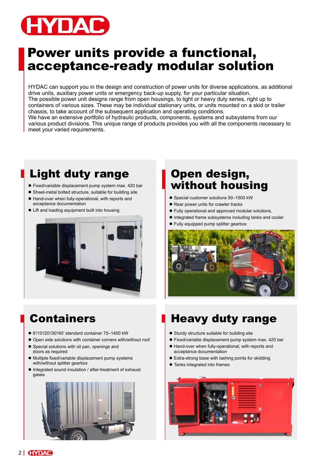

## Power units provide a functional, acceptance-ready modular solution

HYDAC can support you in the design and construction of power units for diverse applications, as additional drive units, auxiliary power units or emergency back-up supply, for your particular situation. The possible power unit designs range from open housings, to light or heavy duty series, right up to containers of various sizes. These may be individual stationary units, or units mounted on a skid or trailer chassis, to take account of the subsequent application and operating conditions. We have an extensive portfolio of hydraulic products, components, systems and subsystems from our various product divisions. This unique range of products provides you with all the components necessary to meet your varied requirements.

## Light duty range **Den** design,

- 
- 
- $\bullet$  Hand-over when fully-operational, with reports and acceptance documentation
- Lift and loading equipment built into housing



# **•** Fixed/variable displacement pump system max. 420 bar **without housing ing**

- Special customer solutions 50-1500 kW
- Rear power units for crawler tracks
- $\bullet$  Fully operational and approved modular solutions,
- $\bullet$  Integrated frame subsystems including tanks and cooler
- Fully equipped pump splitter gearbox



- 8'/10'/20'/30'/40' standard container 75-1400 kW
- Open side solutions with container corners with/without roof
- **•** Special solutions with oil pan, openings and
- doors as required
- Multiple fixed/variable displacement pump systems with/without splitter gearbox
- $\bullet$  Integrated sound insulation / after-treatment of exhaust gases



## Containers **Heavy duty range**

- Sturdy structure suitable for building site
- $\bullet$  Fixed/variable displacement pump system max. 420 bar
- $\bullet$  Hand-over when fully-operational, with reports and acceptance documentation
- Extra-strong base with lashing points for skidding
- Tanks integrated into frames

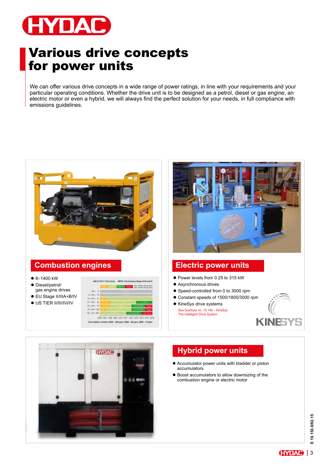

## Various drive concepts for power units

We can offer various drive concepts in a wide range of power ratings, in line with your requirements and your particular operating conditions. Whether the drive unit is to be designed as a petrol, diesel or gas engine, an electric motor or even a hybrid, we will always find the perfect solution for your needs, in full compliance with emissions guidelines.



### **Combustion engines**

- $8 1400$  kW
- Diesel/petrol/ gas engine drives
- EU Stage II/IIIA+B/IV
- $\bullet$  US TIER II/III/IVi/IV





- Power levels from 0.25 to 315 kW
- Asynchronous drives
- Speed-controlled from 0 to 3000 rpm
- Constant speeds of 1500/1800/3000 rpm
- KineSys drive systems See brochure no. 10.146 – KineSys The Intelligent Drive System





### **Hybrid power units**

- $\bullet$  Accumulator power units with bladder or piston accumulators
- $\bullet$  Boost accumulators to allow downsizing of the combustion engine or electric motor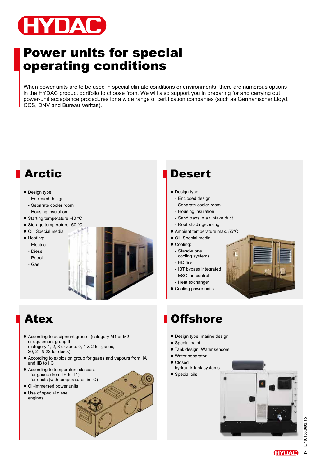

## Power units for special operating conditions

When power units are to be used in special climate conditions or environments, there are numerous options in the HYDAC product portfolio to choose from. We will also support you in preparing for and carrying out power-unit acceptance procedures for a wide range of certification companies (such as Germanischer Lloyd, CCS, DNV and Bureau Veritas).



- According to equipment group I (category M1 or M2) or equipment group II (category 1, 2, 3 or zone: 0, 1 & 2 for gases, 20, 21 & 22 for dusts)
- According to explosion group for gases and vapours from IIA and IIB to IIC
- $\bullet$  According to temperature classes: - for gases (from T6 to T1) - for dusts (with temperatures in  $°C$ )
- Oil-immersed power units
- $\bullet$  Use of special diesel engines

## **Desert**

- $\bullet$  Design type:
	- Enclosed design
	- Separate cooler room
	- Housing insulation
	- Sand traps in air intake duct
	- Roof shading/cooling
- $\bullet$  Ambient temperature max. 55°C
- · Oil: Special media
- $\bullet$  Cooling:
	- Stand-alone cooling systems
	- HD fins
	- IBT bypass integrated
	- ESC fan control
	- Heat exchanger
- Cooling power units



## **Offshore**

- Design type: marine design
- $\bullet$  Special paint
- **Tank design: Water sensors**
- $\bullet$  Water separator
- Closed
- hydraulik tank systems
- $\bullet$  Special oils



4**E 10.153.0/02.15** 10.153.0/02.15 ŵ